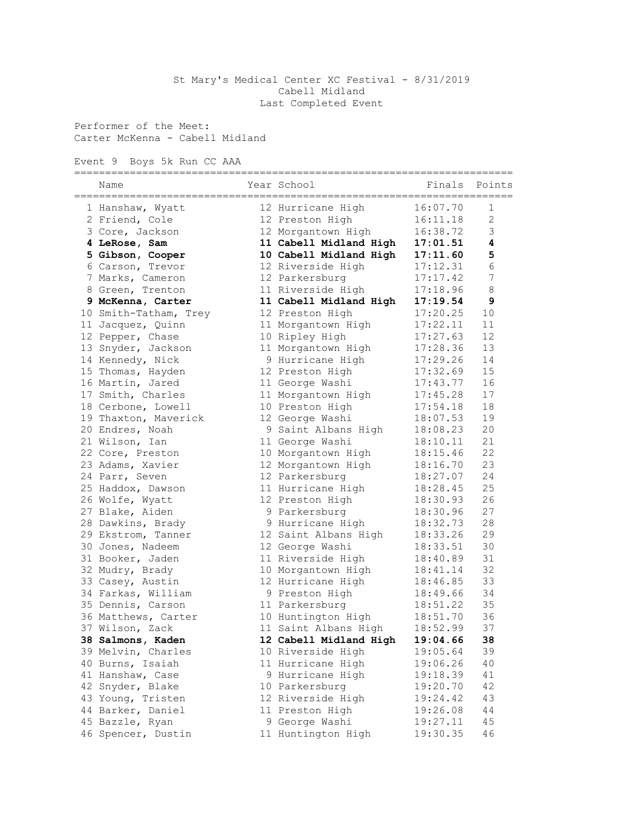## St Mary's Medical Center XC Festival - 8/31/2019 Cabell Midland Last Completed Event

Performer of the Meet: Carter McKenna - Cabell Midland

Event 9 Boys 5k Run CC AAA

| Name                  |  | Year School            | Finals   | Points           |  |
|-----------------------|--|------------------------|----------|------------------|--|
| 1 Hanshaw, Wyatt      |  | 12 Hurricane High      | 16:07.70 | 1                |  |
| 2 Friend, Cole        |  | 12 Preston High        | 16:11.18 | $\overline{2}$   |  |
| 3 Core, Jackson       |  | 12 Morgantown High     | 16:38.72 | 3                |  |
| 4 LeRose, Sam         |  | 11 Cabell Midland High | 17:01.51 | $\boldsymbol{4}$ |  |
| 5 Gibson, Cooper      |  | 10 Cabell Midland High | 17:11.60 | 5                |  |
| 6 Carson, Trevor      |  | 12 Riverside High      | 17:12.31 | $\sqrt{6}$       |  |
| 7 Marks, Cameron      |  | 12 Parkersburg         | 17:17.42 | $\overline{7}$   |  |
| 8 Green, Trenton      |  | 11 Riverside High      | 17:18.96 | 8                |  |
| 9 McKenna, Carter     |  | 11 Cabell Midland High | 17:19.54 | 9                |  |
| 10 Smith-Tatham, Trey |  | 12 Preston High        | 17:20.25 | 10               |  |
| 11 Jacquez, Quinn     |  | 11 Morgantown High     | 17:22.11 | 11               |  |
| 12 Pepper, Chase      |  | 10 Ripley High         | 17:27.63 | 12               |  |
| 13 Snyder, Jackson    |  | 11 Morgantown High     | 17:28.36 | 13               |  |
| 14 Kennedy, Nick      |  | 9 Hurricane High       | 17:29.26 | 14               |  |
| 15 Thomas, Hayden     |  | 12 Preston High        | 17:32.69 | 15               |  |
| 16 Martin, Jared      |  | 11 George Washi        | 17:43.77 | 16               |  |
| 17 Smith, Charles     |  | 11 Morgantown High     | 17:45.28 | 17               |  |
| 18 Cerbone, Lowell    |  | 10 Preston High        | 17:54.18 | 18               |  |
| 19 Thaxton, Maverick  |  | 12 George Washi        | 18:07.53 | 19               |  |
| 20 Endres, Noah       |  | 9 Saint Albans High    | 18:08.23 | 20               |  |
| 21 Wilson, Ian        |  | 11 George Washi        | 18:10.11 | 21               |  |
| 22 Core, Preston      |  | 10 Morgantown High     | 18:15.46 | 22               |  |
| 23 Adams, Xavier      |  | 12 Morgantown High     | 18:16.70 | 23               |  |
| 24 Parr, Seven        |  | 12 Parkersburg         | 18:27.07 | 24               |  |
| 25 Haddox, Dawson     |  | 11 Hurricane High      | 18:28.45 | 25               |  |
| 26 Wolfe, Wyatt       |  | 12 Preston High        | 18:30.93 | 26               |  |
| 27 Blake, Aiden       |  | 9 Parkersburg          | 18:30.96 | 27               |  |
| 28 Dawkins, Brady     |  | 9 Hurricane High       | 18:32.73 | 28               |  |
| 29 Ekstrom, Tanner    |  | 12 Saint Albans High   | 18:33.26 | 29               |  |
| 30 Jones, Nadeem      |  | 12 George Washi        | 18:33.51 | 30               |  |
| 31 Booker, Jaden      |  | 11 Riverside High      | 18:40.89 | 31               |  |
| 32 Mudry, Brady       |  | 10 Morgantown High     | 18:41.14 | 32               |  |
| 33 Casey, Austin      |  | 12 Hurricane High      | 18:46.85 | 33               |  |
| 34 Farkas, William    |  | 9 Preston High         | 18:49.66 | 34               |  |
| 35 Dennis, Carson     |  | 11 Parkersburg         | 18:51.22 | 35               |  |
| 36 Matthews, Carter   |  | 10 Huntington High     | 18:51.70 | 36               |  |
| 37 Wilson, Zack       |  | 11 Saint Albans High   | 18:52.99 | 37               |  |
| 38 Salmons, Kaden     |  | 12 Cabell Midland High | 19:04.66 | 38               |  |
| 39 Melvin, Charles    |  | 10 Riverside High      | 19:05.64 | 39               |  |
| 40 Burns, Isaiah      |  | 11 Hurricane High      | 19:06.26 | 40               |  |
| 41 Hanshaw, Case      |  | 9 Hurricane High       | 19:18.39 | 41               |  |
| 42 Snyder, Blake      |  | 10 Parkersburg         | 19:20.70 | 42               |  |
| 43 Young, Tristen     |  | 12 Riverside High      | 19:24.42 | 43               |  |
| 44 Barker, Daniel     |  | 11 Preston High        | 19:26.08 | 44               |  |
| 45 Bazzle, Ryan       |  | 9 George Washi         | 19:27.11 | 45               |  |
| 46 Spencer, Dustin    |  | 11 Huntington High     | 19:30.35 | 46               |  |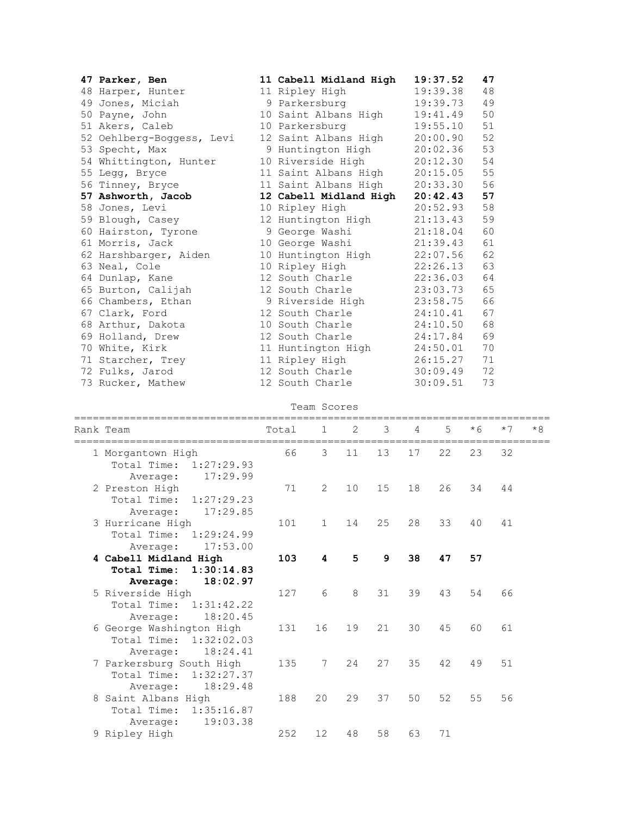| 47 Parker, Ben            | 11 Cabell Midland High | 19:37.52      | 47 |
|---------------------------|------------------------|---------------|----|
| 48 Harper, Hunter         | 11 Ripley High         | 19:39.38      | 48 |
| 49 Jones, Miciah          | 9 Parkersburg          | 19:39.73      | 49 |
| 50 Payne, John            | 10 Saint Albans High   | 19:41.49      | 50 |
| 51 Akers, Caleb           | 10 Parkersburg         | 19:55.10      | 51 |
| 52 Oehlberg-Boggess, Levi | 12 Saint Albans High   | 20:00.90      | 52 |
| 53 Specht, Max            | 9 Huntington High      | 20:02.36      | 53 |
| 54 Whittington, Hunter    | 10 Riverside High      | 20:12.30      | 54 |
| 55 Legg, Bryce            | 11 Saint Albans High   | 20:15.05      | 55 |
| 56 Tinney, Bryce          | 11 Saint Albans High   | 20:33.30      | 56 |
| 57 Ashworth, Jacob        | 12 Cabell Midland High | 20:42.43      | 57 |
| 58 Jones, Levi            | 10 Ripley High         | 20:52.93      | 58 |
| 59 Blough, Casey          | 12 Huntington High     | 21:13.43      | 59 |
| 60 Hairston, Tyrone       | 9 George Washi         | 21:18.04      | 60 |
| 61 Morris, Jack           | 10 George Washi        | 21:39.43      | 61 |
| 62 Harshbarger, Aiden     | 10 Huntington High     | 22:07.56      | 62 |
| 63 Neal, Cole             | 10 Ripley High         | $22:26.13$ 63 |    |
| 64 Dunlap, Kane           | 12 South Charle        | 22:36.03      | 64 |
| 65 Burton, Calijah        | 12 South Charle        | 23:03.73      | 65 |
| 66 Chambers, Ethan        | 9 Riverside High       | 23:58.75      | 66 |
| 67 Clark, Ford            | 12 South Charle        | 24:10.41      | 67 |
| 68 Arthur, Dakota         | 10 South Charle        | 24:10.50      | 68 |
| 69 Holland, Drew          | 12 South Charle        | 24:17.84      | 69 |
| 70 White, Kirk            | 11 Huntington High     | 24:50.01      | 70 |
| 71 Starcher, Trey         | 11 Ripley High         | 26:15.27      | 71 |
| 72 Fulks, Jarod           | 12 South Charle        | 30:09.49      | 72 |
| 73 Rucker, Mathew         | 12 South Charle        | 30:09.51      | 73 |

|  |  | Team Scores |
|--|--|-------------|
|--|--|-------------|

| Rank Team                                       | Total | $\mathbf{1}$   | 2  | 3               | $\overline{4}$ | 5  | $*6$ | $*7$ | $*8$ |
|-------------------------------------------------|-------|----------------|----|-----------------|----------------|----|------|------|------|
| 1 Morgantown High                               | 66    | 3              | 11 | 13              | 17             | 22 | 23   | 32   |      |
| Total Time: 1:27:29.93                          |       |                |    |                 |                |    |      |      |      |
| 17:29.99<br>Average:<br>2 Preston High          | 71    | $\overline{2}$ | 10 | 15 <sub>1</sub> | 18             | 26 | 34   | 44   |      |
| Total Time:<br>1:27:29.23                       |       |                |    |                 |                |    |      |      |      |
| 17:29.85<br>Average:                            |       |                |    |                 |                |    |      |      |      |
| 3 Hurricane High                                | 101   | $\mathbf{1}$   | 14 | 25              | 28             | 33 | 40   | 41   |      |
| Total Time: 1:29:24.99                          |       |                |    |                 |                |    |      |      |      |
| 17:53.00<br>Average:                            | 103   | 4              | 5  | 9               | 38             | 47 | 57   |      |      |
| 4 Cabell Midland High<br>Total Time: 1:30:14.83 |       |                |    |                 |                |    |      |      |      |
| 18:02.97<br>Average:                            |       |                |    |                 |                |    |      |      |      |
| 5 Riverside High                                | 127   | 6              | 8  | 31              | 39             | 43 | 54   | 66   |      |
| Total Time: 1:31:42.22                          |       |                |    |                 |                |    |      |      |      |
| 18:20.45<br>Average:                            |       |                |    |                 |                |    |      |      |      |
| 6 George Washington High                        | 131   | 16             | 19 | 21              | 30             | 45 | 60   | 61   |      |
| Total Time: 1:32:02.03<br>18:24.41<br>Average:  |       |                |    |                 |                |    |      |      |      |
| 7 Parkersburg South High                        | 135   | 7              | 24 | 27              | 35             | 42 | 49   | 51   |      |
| Total Time: 1:32:27.37                          |       |                |    |                 |                |    |      |      |      |
| 18:29.48<br>Average:                            |       |                |    |                 |                |    |      |      |      |
| 8 Saint Albans High                             | 188   | 20             | 29 | 37              | 50             | 52 | 55   | 56   |      |
| Total Time:<br>1:35:16.87                       |       |                |    |                 |                |    |      |      |      |
| 19:03.38<br>Average:<br>9 Ripley High           | 252   | 12             | 48 | 58              | 63             | 71 |      |      |      |
|                                                 |       |                |    |                 |                |    |      |      |      |